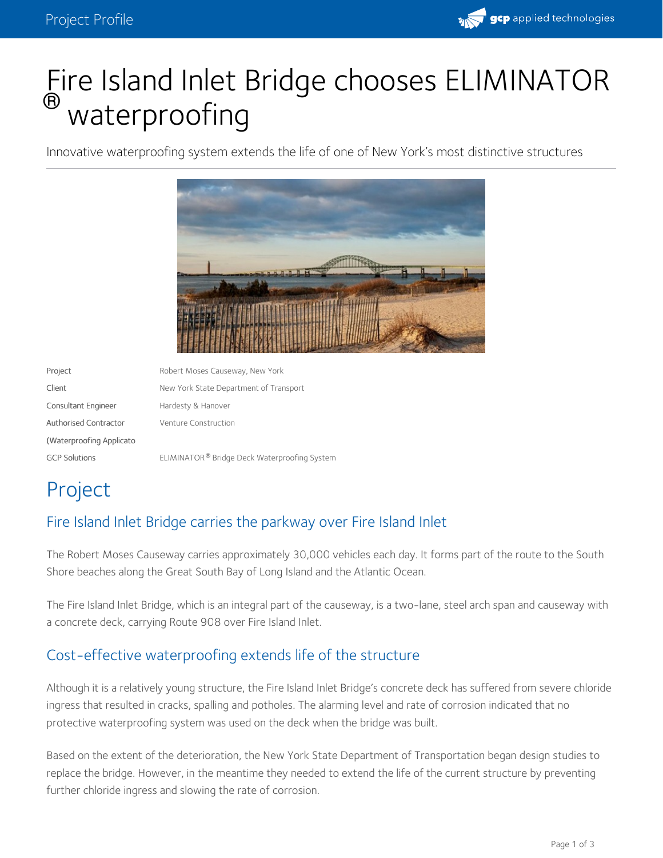

# Fire Island Inlet Bridge chooses ELIMINATOR ® waterproofing

Innovative waterproofing system extends the life of one of New York's most distinctive structures



Project **Robert Moses Causeway, New York** Client Client New York State Department of Transport Consultant Engineer Hardesty & Hanover Authorised Contractor (Waterproofing Applicato Venture Construction GCP Solutions **ELIMINATOR®** Bridge Deck Waterproofing System

## Project

### Fire Island Inlet Bridge carries the parkway over Fire Island Inlet

The Robert Moses Causeway carries approximately 30,000 vehicles each day. It forms part of the route to the South Shore beaches along the Great South Bay of Long Island and the Atlantic Ocean.

The Fire Island Inlet Bridge, which is an integral part of the causeway, is a two-lane, steel arch span and causeway with a concrete deck, carrying Route 908 over Fire Island Inlet.

### Cost-effective waterproofing extends life of the structure

Although it is a relatively young structure, the Fire Island Inlet Bridge's concrete deck has suffered from severe chloride ingress that resulted in cracks, spalling and potholes. The alarming level and rate of corrosion indicated that no protective waterproofing system was used on the deck when the bridge was built.

Based on the extent of the deterioration, the New York State Department of Transportation began design studies to replace the bridge. However, in the meantime they needed to extend the life of the current structure by preventing further chloride ingress and slowing the rate of corrosion.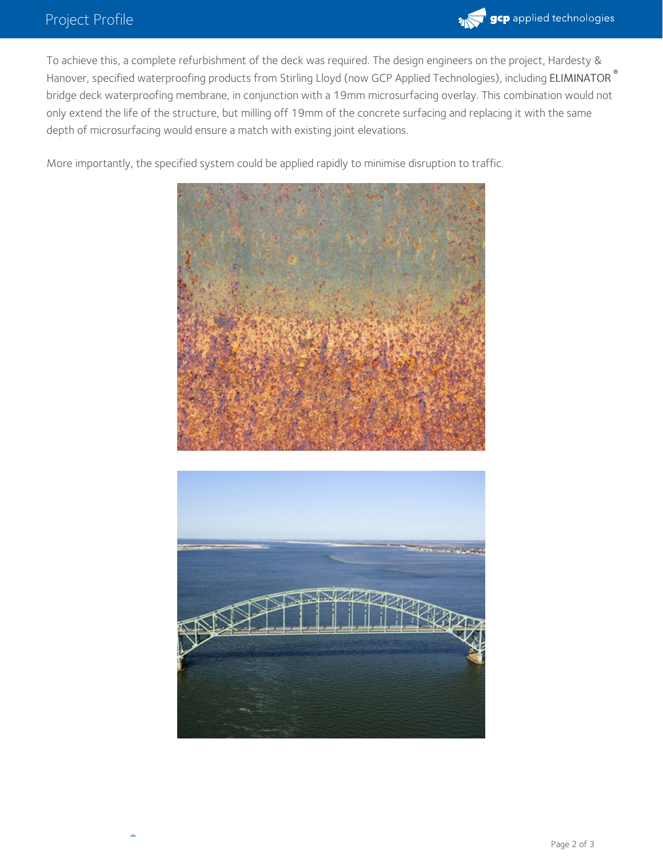

To achieve this, a complete refurbishment of the deck was required. The design engineers on the project, Hardesty & Hanover, specified waterproofing products from Stirling Lloyd (now GCP Applied Technologies), including ELIMINATOR **®** bridge deck waterproofing membrane, in conjunction with a 19mm microsurfacing overlay. This combination would not only extend the life of the structure, but milling off 19mm of the concrete surfacing and replacing it with the same depth of microsurfacing would ensure a match with existing joint elevations.

More importantly, the specified system could be applied rapidly to minimise disruption to traffic.